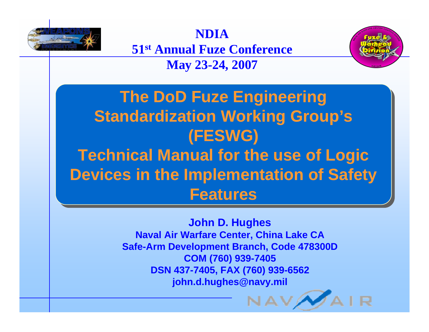

**NDIA** 

**51st Annual Fuze Conference**

## **May 23-24, 2007**



**The DoD Fuze Engineering The DoD Fuze Engineering Standardization Working Group's Standardization Working Group's (FESWG) (FESWG) Technical Manual for the use of Logic Technical Manual for the use of Logic Devices in the Implementation of Safety Devices in the Implementation of Safety FeaturesFeatures**

> **John D. Hughes Naval Air Warfare Center, China Lake CA Safe-Arm Development Branch, Code 478300D COM (760) 939-7405 DSN 437-7405, FAX (760) 939-6562 john.d.hughes@navy.mil**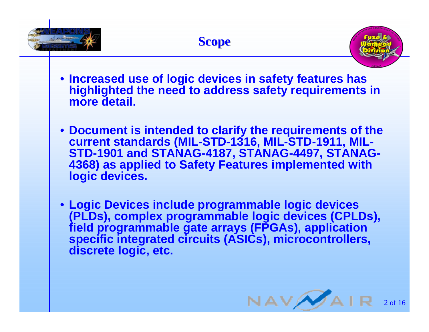



- **Increased use of logic devices in safety features has highlighted the need to address safety requirements in more detail.**
- **Document is intended to clarify the requirements of the current standards (MIL-STD-1316, MIL-STD-1911, MIL-STD-1901 and STANAG-4187, STANAG-4497, STANAG-4368) as applied to Safety Features implemented with logic devices.**
- **Logic Devices include programmable logic devices (PLDs), complex programmable logic devices (CPLDs), field programmable gate arrays (FPGAs), application specific integrated circuits (ASICs), microcontrollers, discrete logic, etc.**

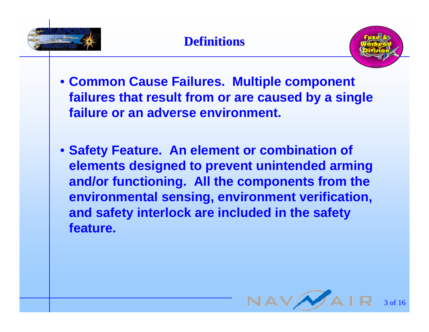



- **Common Cause Failures. Multiple component failures that result from or are caused by a single failure or an adverse environment.**
- **Safety Feature. An element or combination of elements designed to prevent unintended arming and/or functioning. All the components from the environmental sensing, environment verification, and safety interlock are included in the safety feature.**

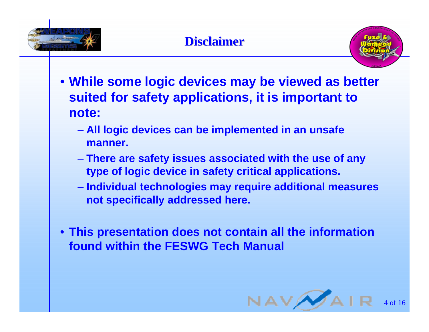





- **While some logic devices may be viewed as better suited for safety applications, it is important to note:**
	- $\mathcal{L}_{\mathcal{A}}$  **All logic devices can be implemented in an unsafe manner.**
	- <del>Jan Karl II.</del><br>Vyhy tysy **There are safety issues associated with the use of any type of logic device in safety critical applications.**
	- $\mathcal{L}_{\mathcal{A}}$  , and the set of the set of the set of the set of the set of the set of the set of the set of the set of the set of the set of the set of the set of the set of the set of the set of the set of the set of th **Individual technologies may require additional measures not specifically addressed here.**
- **This presentation does not contain all the information found within the FESWG Tech Manual**

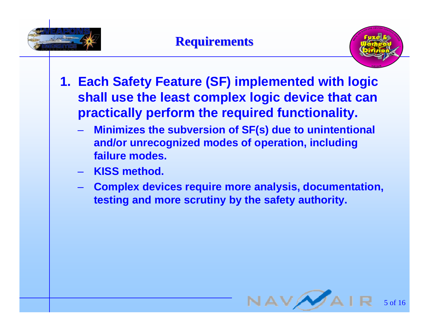



- **1. Each Safety Feature (SF) implemented with logic shall use the least complex logic device that can practically perform the required functionality.**
	- $\mathcal{L}_{\mathcal{A}}$  **Minimizes the subversion of SF(s) due to unintentional and/or unrecognized modes of operation, including failure modes.**
	- **KISS method.**
	- $\mathcal{L}_{\mathcal{A}}$  , and the set of the set of the set of the set of the set of the set of the set of the set of the set of the set of the set of the set of the set of the set of the set of the set of the set of the set of th **Complex devices require more analysis, documentation, testing and more scrutiny by the safety authority.**

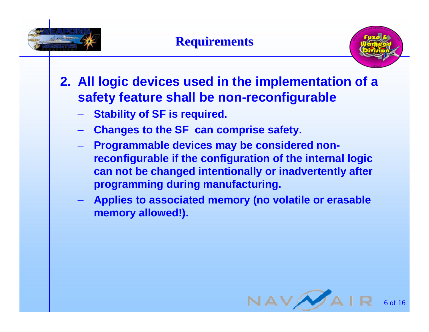



- **2. All logic devices used in the implementation of a safety feature shall be non-reconfigurable** 
	- $\mathcal{L}_{\mathcal{A}}$  , and the set of the set of the set of the set of the set of the set of the set of the set of the set of the set of the set of the set of the set of the set of the set of the set of the set of the set of th **Stability of SF is required.**
	- $\mathcal{L}_{\mathcal{A}}$ **Changes to the SF can comprise safety.**
	- <del>Jan Jawa (</del> **Programmable devices may be considered nonreconfigurable if the configuration of the internal logic can not be changed intentionally or inadvertently after programming during manufacturing.**
	- $\mathcal{L}_{\mathcal{A}}$  , and the set of the set of the set of the set of the set of the set of the set of the set of the set of the set of the set of the set of the set of the set of the set of the set of the set of the set of th **Applies to associated memory (no volatile or erasable memory allowed!).**

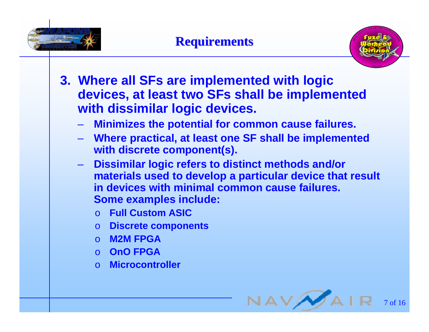



- **3. Where all SFs are implemented with logic devices, at least two SFs shall be implemented with dissimilar logic devices.**
	- <del>Jan Jawa (</del> **Minimizes the potential for common cause failures.**
	- $\mathcal{L}_{\mathcal{A}}$  **Where practical, at least one SF shall be implemented with discrete component(s).**
	- $\mathcal{L}_{\mathcal{A}}$  **Dissimilar logic refers to distinct methods and/or materials used to develop a particular device that result in devices with minimal common cause failures. Some examples include:** 
		- o **Full Custom ASIC**
		- o **Discrete components**
		- o **M2M FPGA**
		- o **OnO FPGA**
		- o **Microcontroller**

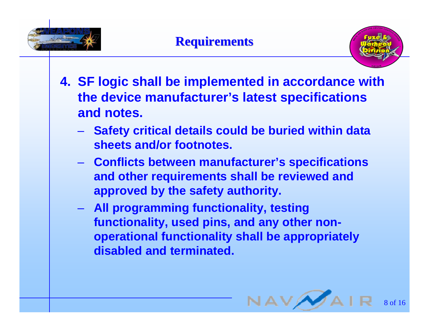





- **4. SF logic shall be implemented in accordance with the device manufacturer's latest specifications and notes.**
	- **Safety critical details could be buried within data sheets and/or footnotes.**
	- **Conflicts between manufacturer's specifications and other requirements shall be reviewed and approved by the safety authority.**
	- **All programming functionality, testing functionality, used pins, and any other nonoperational functionality shall be appropriately disabled and terminated.**

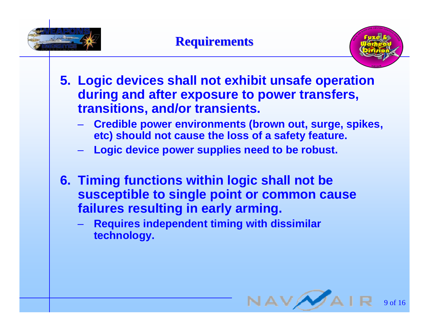



- **5. Logic devices shall not exhibit unsafe operation during and after exposure to power transfers, transitions, and/or transients.**
	- <del>Jan Jawa (</del> **Credible power environments (brown out, surge, spikes, etc) should not cause the loss of a safety feature.**
	- <del>Jan Karl II.</del><br>Vyhy tysy **Logic device power supplies need to be robust.**
- **6. Timing functions within logic shall not be susceptible to single point or common cause failures resulting in early arming.**
	- **Requires independent timing with dissimilar technology.**

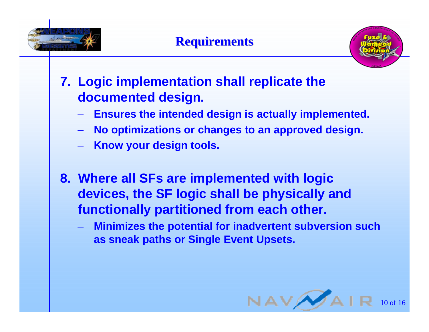





- **7. Logic implementation shall replicate the documented design.** 
	- $\mathcal{L}_{\mathcal{A}}$  , and the set of the set of the set of the set of the set of the set of the set of the set of the set of the set of the set of the set of the set of the set of the set of the set of the set of the set of th **Ensures the intended design is actually implemented.**
	- $\mathcal{L}_{\mathcal{A}}$ **No optimizations or changes to an approved design.**
	- <del>Jan Jawa (</del> **Know your design tools.**
- **8. Where all SFs are implemented with logic devices, the SF logic shall be physically and functionally partitioned from each other.**
	- – **Minimizes the potential for inadvertent subversion such as sneak paths or Single Event Upsets.**

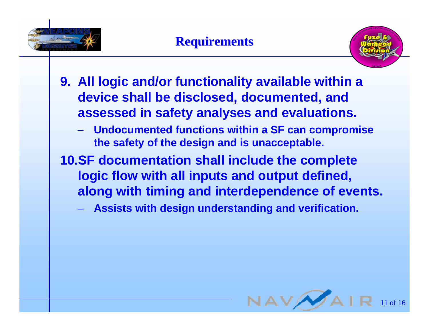



- **9. All logic and/or functionality available within a device shall be disclosed, documented, and assessed in safety analyses and evaluations.**
	- $\mathcal{L}_{\mathcal{A}}$  **Undocumented functions within a SF can compromise the safety of the design and is unacceptable.**
- **10.SF documentation shall include the complete logic flow with all inputs and output defined, along with timing and interdependence of events.**
	- $\mathcal{L}_{\mathcal{A}}$  , and the set of the set of the set of the set of the set of the set of the set of the set of the set of the set of the set of the set of the set of the set of the set of the set of the set of the set of th **Assists with design understanding and verification.**

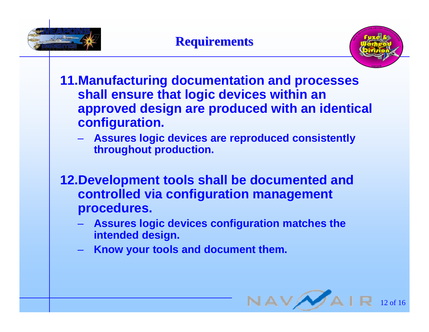





- **11.Manufacturing documentation and processes shall ensure that logic devices within an approved design are produced with an identical configuration.**
	- <del>Jan Jawa (</del> **Assures logic devices are reproduced consistently throughout production.**
- **12.Development tools shall be documented and controlled via configuration management procedures.**
	- $\mathcal{L}_{\mathcal{A}}$  , and the set of the set of the set of the set of the set of the set of the set of the set of the set of the set of the set of the set of the set of the set of the set of the set of the set of the set of th **Assures logic devices configuration matches the intended design.**
	- $\mathcal{L}_{\mathcal{A}}$  , and the set of the set of the set of the set of the set of the set of the set of the set of the set of the set of the set of the set of the set of the set of the set of the set of the set of the set of th **Know your tools and document them.**

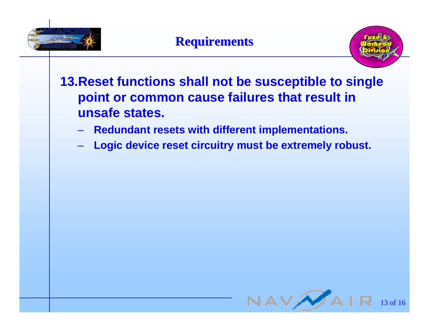



## **13.Reset functions shall not be susceptible to single point or common cause failures that result in unsafe states.**

- $\mathcal{L}_{\mathcal{A}}$ **Redundant resets with different implementations.**
- <del>Jan Jawa (</del> **Logic device reset circuitry must be extremely robust.**

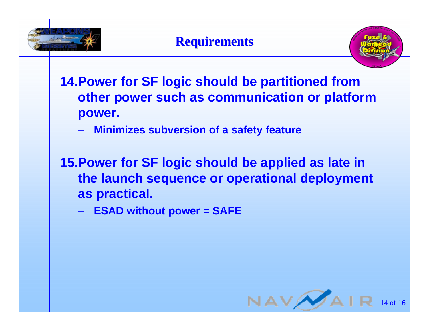



**14.Power for SF logic should be partitioned from other power such as communication or platform power.**

- $\mathcal{L}_{\mathcal{A}}$ **Minimizes subversion of a safety feature**
- **15.Power for SF logic should be applied as late in the launch sequence or operational deployment as practical.**
	- **ESAD without power = SAFE**

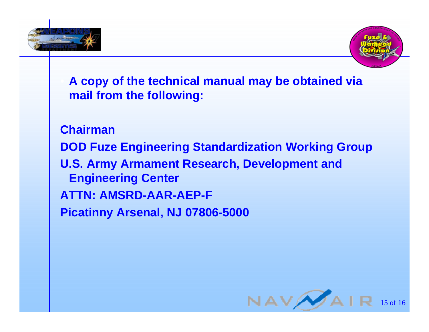



 **A copy of the technical manual may be obtained via mail from the following:**

**ChairmanDOD Fuze Engineering Standardization Working Group U.S. Army Armament Research, Development and Engineering Center ATTN: AMSRD-AAR-AEP-FPicatinny Arsenal, NJ 07806-5000**